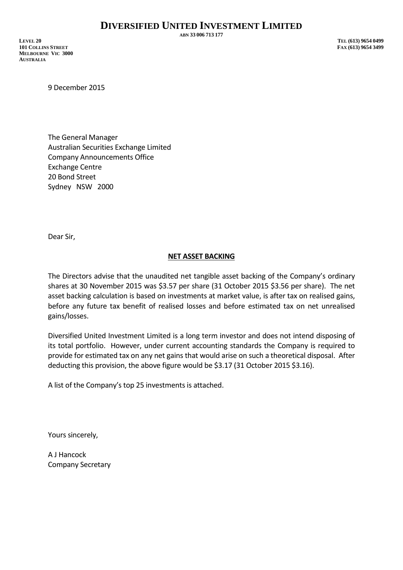**ABN 33 006 713 177**

9 December 2015

The General Manager Australian Securities Exchange Limited Company Announcements Office Exchange Centre 20 Bond Street Sydney NSW 2000

Dear Sir,

## **NET ASSET BACKING**

The Directors advise that the unaudited net tangible asset backing of the Company's ordinary shares at 30 November 2015 was \$3.57 per share (31 October 2015 \$3.56 per share). The net asset backing calculation is based on investments at market value, is after tax on realised gains, before any future tax benefit of realised losses and before estimated tax on net unrealised gains/losses.

Diversified United Investment Limited is a long term investor and does not intend disposing of its total portfolio. However, under current accounting standards the Company is required to provide for estimated tax on any net gains that would arise on such a theoretical disposal. After deducting this provision, the above figure would be \$3.17 (31 October 2015 \$3.16).

A list of the Company's top 25 investments is attached.

Yours sincerely,

A J Hancock Company Secretary